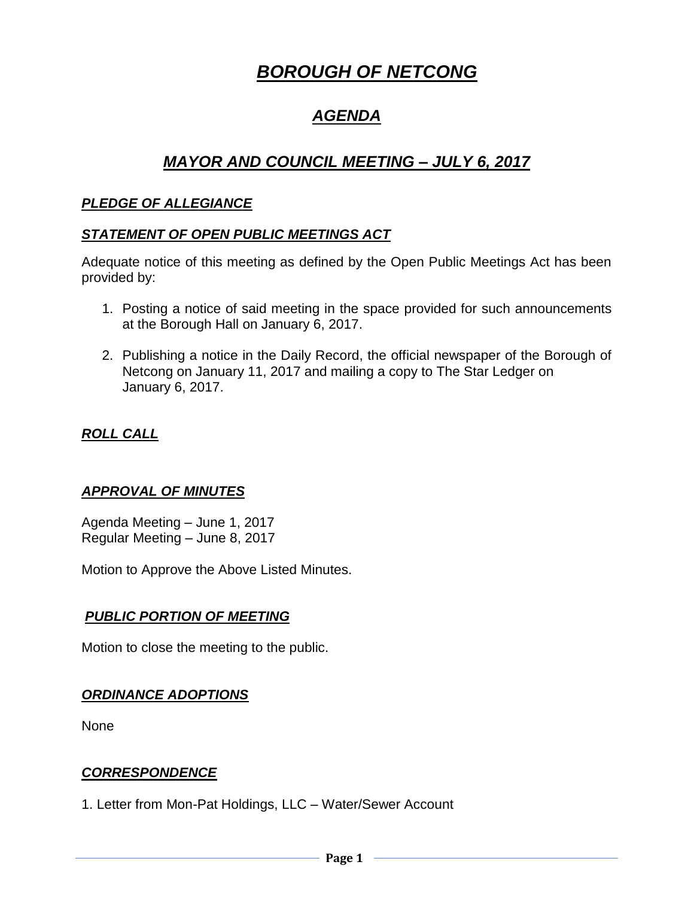# *BOROUGH OF NETCONG*

# *AGENDA*

## *MAYOR AND COUNCIL MEETING – JULY 6, 2017*

#### *PLEDGE OF ALLEGIANCE*

#### *STATEMENT OF OPEN PUBLIC MEETINGS ACT*

Adequate notice of this meeting as defined by the Open Public Meetings Act has been provided by:

- 1. Posting a notice of said meeting in the space provided for such announcements at the Borough Hall on January 6, 2017.
- 2. Publishing a notice in the Daily Record, the official newspaper of the Borough of Netcong on January 11, 2017 and mailing a copy to The Star Ledger on January 6, 2017.

#### *ROLL CALL*

#### *APPROVAL OF MINUTES*

Agenda Meeting – June 1, 2017 Regular Meeting – June 8, 2017

Motion to Approve the Above Listed Minutes.

#### *PUBLIC PORTION OF MEETING*

Motion to close the meeting to the public.

#### *ORDINANCE ADOPTIONS*

None

#### *CORRESPONDENCE*

1. Letter from Mon-Pat Holdings, LLC – Water/Sewer Account